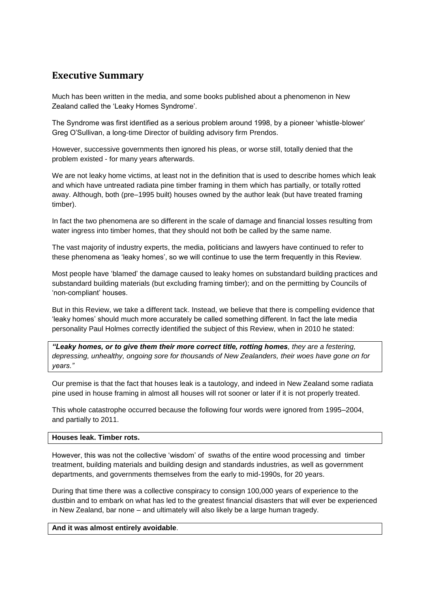# **Executive Summary**

Much has been written in the media, and some books published about a phenomenon in New Zealand called the 'Leaky Homes Syndrome'.

The Syndrome was first identified as a serious problem around 1998, by a pioneer 'whistle-blower' Greg O'Sullivan, a long-time Director of building advisory firm Prendos.

However, successive governments then ignored his pleas, or worse still, totally denied that the problem existed - for many years afterwards.

We are not leaky home victims, at least not in the definition that is used to describe homes which leak and which have untreated radiata pine timber framing in them which has partially, or totally rotted away. Although, both (pre–1995 built) houses owned by the author leak (but have treated framing timber).

In fact the two phenomena are so different in the scale of damage and financial losses resulting from water ingress into timber homes, that they should not both be called by the same name.

The vast majority of industry experts, the media, politicians and lawyers have continued to refer to these phenomena as 'leaky homes', so we will continue to use the term frequently in this Review.

Most people have 'blamed' the damage caused to leaky homes on substandard building practices and substandard building materials (but excluding framing timber); and on the permitting by Councils of 'non-compliant' houses.

But in this Review, we take a different tack. Instead, we believe that there is compelling evidence that 'leaky homes' should much more accurately be called something different. In fact the late media personality Paul Holmes correctly identified the subject of this Review, when in 2010 he stated:

*"Leaky homes, or to give them their more correct title, rotting homes, they are a festering, depressing, unhealthy, ongoing sore for thousands of New Zealanders, their woes have gone on for years."*

Our premise is that the fact that houses leak is a tautology, and indeed in New Zealand some radiata pine used in house framing in almost all houses will rot sooner or later if it is not properly treated.

This whole catastrophe occurred because the following four words were ignored from 1995–2004, and partially to 2011.

## **Houses leak. Timber rots.**

However, this was not the collective 'wisdom' of swaths of the entire wood processing and timber treatment, building materials and building design and standards industries, as well as government departments, and governments themselves from the early to mid-1990s, for 20 years.

During that time there was a collective conspiracy to consign 100,000 years of experience to the dustbin and to embark on what has led to the greatest financial disasters that will ever be experienced in New Zealand, bar none – and ultimately will also likely be a large human tragedy.

#### **And it was almost entirely avoidable**.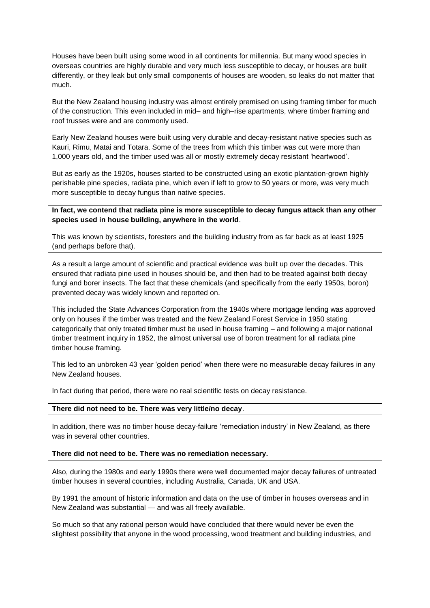Houses have been built using some wood in all continents for millennia. But many wood species in overseas countries are highly durable and very much less susceptible to decay, or houses are built differently, or they leak but only small components of houses are wooden, so leaks do not matter that much.

But the New Zealand housing industry was almost entirely premised on using framing timber for much of the construction. This even included in mid– and high–rise apartments, where timber framing and roof trusses were and are commonly used.

Early New Zealand houses were built using very durable and decay-resistant native species such as Kauri, Rimu, Matai and Totara. Some of the trees from which this timber was cut were more than 1,000 years old, and the timber used was all or mostly extremely decay resistant 'heartwood'.

But as early as the 1920s, houses started to be constructed using an exotic plantation-grown highly perishable pine species, radiata pine, which even if left to grow to 50 years or more, was very much more susceptible to decay fungus than native species.

**In fact, we contend that radiata pine is more susceptible to decay fungus attack than any other species used in house building, anywhere in the world**.

This was known by scientists, foresters and the building industry from as far back as at least 1925 (and perhaps before that).

As a result a large amount of scientific and practical evidence was built up over the decades. This ensured that radiata pine used in houses should be, and then had to be treated against both decay fungi and borer insects. The fact that these chemicals (and specifically from the early 1950s, boron) prevented decay was widely known and reported on.

This included the State Advances Corporation from the 1940s where mortgage lending was approved only on houses if the timber was treated and the New Zealand Forest Service in 1950 stating categorically that only treated timber must be used in house framing – and following a major national timber treatment inquiry in 1952, the almost universal use of boron treatment for all radiata pine timber house framing.

This led to an unbroken 43 year 'golden period' when there were no measurable decay failures in any New Zealand houses.

In fact during that period, there were no real scientific tests on decay resistance.

#### **There did not need to be. There was very little/no decay**.

In addition, there was no timber house decay-failure 'remediation industry' in New Zealand, as there was in several other countries.

### **There did not need to be. There was no remediation necessary.**

Also, during the 1980s and early 1990s there were well documented major decay failures of untreated timber houses in several countries, including Australia, Canada, UK and USA.

By 1991 the amount of historic information and data on the use of timber in houses overseas and in New Zealand was substantial — and was all freely available.

So much so that any rational person would have concluded that there would never be even the slightest possibility that anyone in the wood processing, wood treatment and building industries, and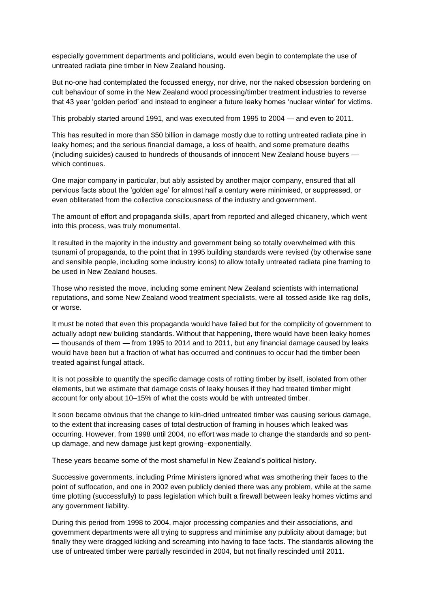especially government departments and politicians, would even begin to contemplate the use of untreated radiata pine timber in New Zealand housing.

But no-one had contemplated the focussed energy, nor drive, nor the naked obsession bordering on cult behaviour of some in the New Zealand wood processing/timber treatment industries to reverse that 43 year 'golden period' and instead to engineer a future leaky homes 'nuclear winter' for victims.

This probably started around 1991, and was executed from 1995 to 2004 — and even to 2011.

This has resulted in more than \$50 billion in damage mostly due to rotting untreated radiata pine in leaky homes; and the serious financial damage, a loss of health, and some premature deaths (including suicides) caused to hundreds of thousands of innocent New Zealand house buyers which continues.

One major company in particular, but ably assisted by another major company, ensured that all pervious facts about the 'golden age' for almost half a century were minimised, or suppressed, or even obliterated from the collective consciousness of the industry and government.

The amount of effort and propaganda skills, apart from reported and alleged chicanery, which went into this process, was truly monumental.

It resulted in the majority in the industry and government being so totally overwhelmed with this tsunami of propaganda, to the point that in 1995 building standards were revised (by otherwise sane and sensible people, including some industry icons) to allow totally untreated radiata pine framing to be used in New Zealand houses.

Those who resisted the move, including some eminent New Zealand scientists with international reputations, and some New Zealand wood treatment specialists, were all tossed aside like rag dolls, or worse.

It must be noted that even this propaganda would have failed but for the complicity of government to actually adopt new building standards. Without that happening, there would have been leaky homes — thousands of them — from 1995 to 2014 and to 2011, but any financial damage caused by leaks would have been but a fraction of what has occurred and continues to occur had the timber been treated against fungal attack.

It is not possible to quantify the specific damage costs of rotting timber by itself, isolated from other elements, but we estimate that damage costs of leaky houses if they had treated timber might account for only about 10–15% of what the costs would be with untreated timber.

It soon became obvious that the change to kiln-dried untreated timber was causing serious damage, to the extent that increasing cases of total destruction of framing in houses which leaked was occurring. However, from 1998 until 2004, no effort was made to change the standards and so pentup damage, and new damage just kept growing–exponentially.

These years became some of the most shameful in New Zealand's political history.

Successive governments, including Prime Ministers ignored what was smothering their faces to the point of suffocation, and one in 2002 even publicly denied there was any problem, while at the same time plotting (successfully) to pass legislation which built a firewall between leaky homes victims and any government liability.

During this period from 1998 to 2004, major processing companies and their associations, and government departments were all trying to suppress and minimise any publicity about damage; but finally they were dragged kicking and screaming into having to face facts. The standards allowing the use of untreated timber were partially rescinded in 2004, but not finally rescinded until 2011.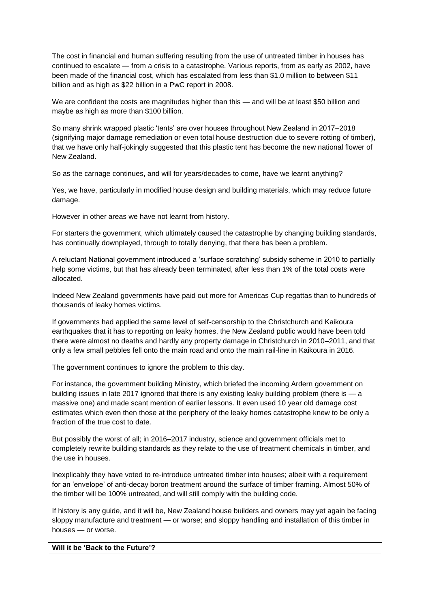The cost in financial and human suffering resulting from the use of untreated timber in houses has continued to escalate — from a crisis to a catastrophe. Various reports, from as early as 2002, have been made of the financial cost, which has escalated from less than \$1.0 million to between \$11 billion and as high as \$22 billion in a PwC report in 2008.

We are confident the costs are magnitudes higher than this — and will be at least \$50 billion and maybe as high as more than \$100 billion.

So many shrink wrapped plastic 'tents' are over houses throughout New Zealand in 2017–2018 (signifying major damage remediation or even total house destruction due to severe rotting of timber), that we have only half-jokingly suggested that this plastic tent has become the new national flower of New Zealand.

So as the carnage continues, and will for years/decades to come, have we learnt anything?

Yes, we have, particularly in modified house design and building materials, which may reduce future damage.

However in other areas we have not learnt from history.

For starters the government, which ultimately caused the catastrophe by changing building standards, has continually downplayed, through to totally denying, that there has been a problem.

A reluctant National government introduced a 'surface scratching' subsidy scheme in 2010 to partially help some victims, but that has already been terminated, after less than 1% of the total costs were allocated.

Indeed New Zealand governments have paid out more for Americas Cup regattas than to hundreds of thousands of leaky homes victims.

If governments had applied the same level of self-censorship to the Christchurch and Kaikoura earthquakes that it has to reporting on leaky homes, the New Zealand public would have been told there were almost no deaths and hardly any property damage in Christchurch in 2010–2011, and that only a few small pebbles fell onto the main road and onto the main rail-line in Kaikoura in 2016.

The government continues to ignore the problem to this day.

For instance, the government building Ministry, which briefed the incoming Ardern government on building issues in late 2017 ignored that there is any existing leaky building problem (there is — a massive one) and made scant mention of earlier lessons. It even used 10 year old damage cost estimates which even then those at the periphery of the leaky homes catastrophe knew to be only a fraction of the true cost to date.

But possibly the worst of all; in 2016–2017 industry, science and government officials met to completely rewrite building standards as they relate to the use of treatment chemicals in timber, and the use in houses.

Inexplicably they have voted to re-introduce untreated timber into houses; albeit with a requirement for an 'envelope' of anti-decay boron treatment around the surface of timber framing. Almost 50% of the timber will be 100% untreated, and will still comply with the building code.

If history is any guide, and it will be, New Zealand house builders and owners may yet again be facing sloppy manufacture and treatment — or worse; and sloppy handling and installation of this timber in houses — or worse.

#### **Will it be 'Back to the Future'?**